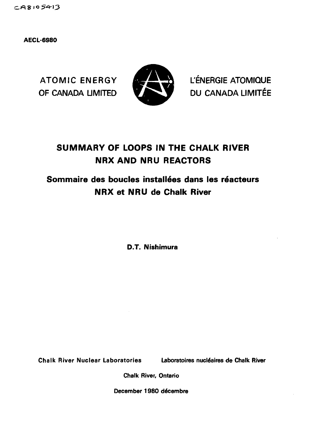$CAS105413$ 

**AECL-6980**



ATOMIC ENERGY **the CONSTANT L'ENERGIE ATOMIQUE** OF CANADA LIMITED **VIDEO** DU CANADA LIMITÉE

# **SUMMARY OF LOOPS IN THE CHALK RIVER NRX AND NRU REACTORS**

# **Sommaire des boucles installees dans les reacteurs NRX et NRU de Chalk River**

**D.T. Nishimura**

**Chalk River Nuclear Laboratories Laboratoires nucléaires de Chalk River** 

**Chalk River, Ontario**

December 1980 décembre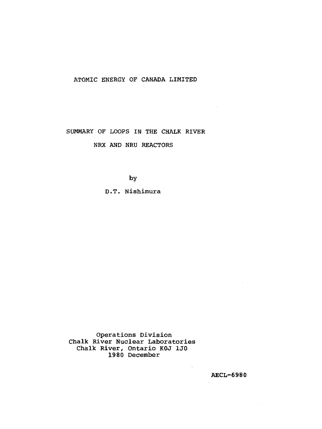# ATOMIC ENERGY OF CANADA LIMITED

SUMMARY OF LOOPS IN THE CHALK RIVER

NRX AND NRU REACTORS

by

D.T. Nishimura

Operations Division Chalk River Nuclear Laboratories Chalk River, Ontario KOJ 1J0 1980 December

AECL-6980

 $\sim 10$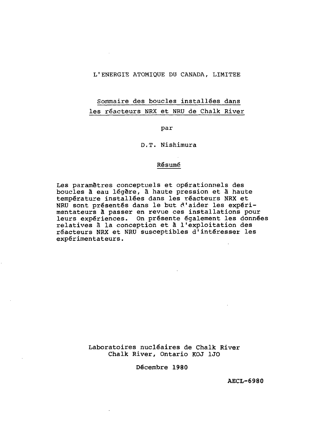# L <sup>1</sup>ENERGIE ATOMIQUE DU CANADA, LIMITEE

# Sommaire des boucles installées dans les réacteurs NRX et NRU de Chalk River

par

D.T. Nishimura

## Résumé

Les paramètres conceptuels et opérationnels des boucles à eau légère, à haute pression et â haute température installées dans les réacteurs NRX et NRU sont présentés dans le but d'aider les expérimentateurs à passer en revue ces installations pour leurs expériences. On présente également les données relatives à la conception et à l'exploitation des réacteurs NRX et NRU susceptibles d'intéresser les expérimentateurs.

> Laboratoires nucléaires **de** Chalk **River** Chalk River, **Ontario** KOJ 1J0

> > Décembre **1980**

**AECL-6980**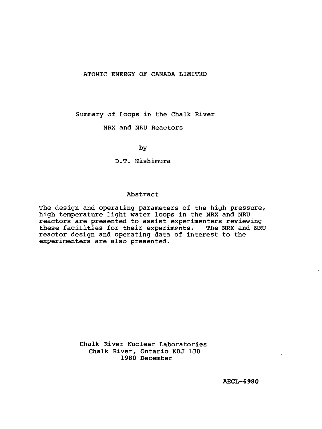# ATOMIC ENERGY OF CANADA LIMITED

Summary of Loops in the Chalk River

NRX and NRU Reactors

by

D.T. Nishimura

## Abstract

The design and operating parameters of the high pressure, high temperature light water loops in the NRX and NRU reactors are presented to assist experimenters reviewing these facilities for their experiments. The NRX and NRU reactor design and operating data of interest to the experimenters are also presented.

> Chalk River Nuclear Laboratories Chalk River, Ontario KOJ 1J0 1980 December

> > **AECL-6980**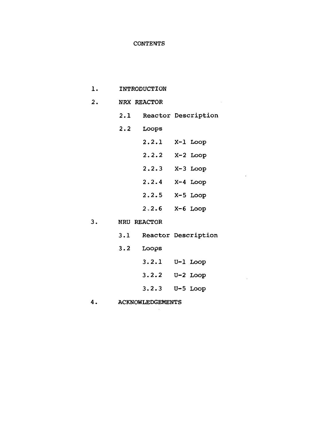# **CONTENTS**

| 1. | INTRODUCTION            |                    |                         |                         |  |  |  |  |
|----|-------------------------|--------------------|-------------------------|-------------------------|--|--|--|--|
| 2. |                         | NRX REACTOR        |                         |                         |  |  |  |  |
|    |                         |                    |                         | 2.1 Reactor Description |  |  |  |  |
|    | 2.2                     | Loops              |                         |                         |  |  |  |  |
|    |                         | 2.2.1 X-1 Loop     |                         |                         |  |  |  |  |
|    |                         | $2.2.2$ X-2 Loop   |                         |                         |  |  |  |  |
|    |                         | $2.2.3$ X-3 Loop   |                         |                         |  |  |  |  |
|    |                         | $2.2.4$ $X-4$ Loop |                         |                         |  |  |  |  |
|    |                         | $2.2.5$ $X-5$ Loop |                         |                         |  |  |  |  |
|    |                         | $2.2.6$ X-6 Loop   |                         |                         |  |  |  |  |
| 3. | NRU REACTOR             |                    |                         |                         |  |  |  |  |
|    |                         |                    | 3.1 Reactor Description |                         |  |  |  |  |
|    | 3.2                     | Loops              |                         |                         |  |  |  |  |
|    |                         | $3.2.1$ U-1 Loop   |                         |                         |  |  |  |  |
|    |                         | 3.2.2              |                         | $U-2$ Loop              |  |  |  |  |
|    |                         | $3.2.3$ $U-5$ Loop |                         |                         |  |  |  |  |
| 4. | <b>ACKNOWLEDGEMENTS</b> |                    |                         |                         |  |  |  |  |

 $\bar{z}$ 

 $\sim 10^{-10}$ 

 $\sim 100$  km s  $^{-1}$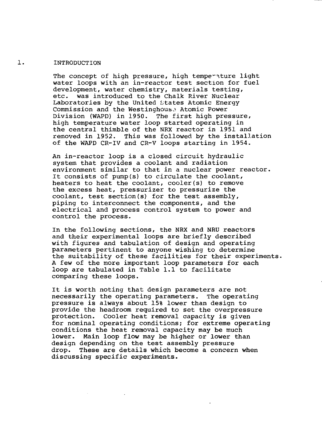# 1. INTRODUCTION

The concept of high pressure, high temperature light water loops with an in-reactor test section for fuel development, water chemistry, materials testing, etc. was introduced to the Chalk River Nuclear Laboratories by the United states Atomic Energy Commission and the Westinghous^ Atomic Power Division (WAPD) in 1950. The first high pressure, high temperature water loop started operating in the central thimble of the NRX reactor in 1951 and removed in 1952. This was followed by the installation of the WAPD CR-IV and CR-V loops starting in 1954.

An in-reactor loop is a closed circuit hydraulic system that provides a coolant and radiation environment similar to that in a nuclear power reactor. It consists of pump(s) to circulate the coolant, heaters to heat the coolant, cooler(s) to remove the excess heat, pressurizer to pressurize the coolant, test section(s) for the test assembly, piping to interconnect the components, and the electrical and process control system to power and control the process.

In the following sections, the NRX and NRU reactors and their experimental loops are briefly described with figures and tabulation of design and operating parameters pertinent to anyone wishing to determine the suitability of these facilities for their experiments. A few of the more important loop parameters for each loop are tabulated in Table 1.1 to facilitate comparing these loops.

It is worth noting that design parameters are not necessarily the operating parameters. The operating pressure is always about 15% lower than design to provide the headroom required to set the overpressure protection. Cooler heat removal capacity is given for nominal operating conditions; for extreme operating conditions the heat removal capacity may be much lower. Main loop flow may be higher or lower than design depending on the test assembly pressure drop. These are details which become a concern when discussing specific experiments.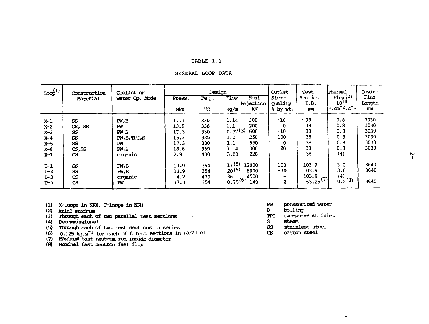## TABLE **1. 1**

#### GENERAL LOOP DATA

| $\text{loop}^{(1)}$                                                                             | Construction<br>Material                                                                                    | Coolant or<br>Water Op. Mode                                                                    | Press.<br>MPa                                                                      | Design<br>Temp.<br>°C                                                     | FIGV<br>kg/s                                                                                 | Heat<br>Rejection<br>kW                                                       | Outlet<br>Steam<br>Ouality<br>8 hy wt.                      | Test<br>Section<br>I.D.<br>m                                                       | Thermal<br>Flux(2)<br>$10^{14}$<br>$\mathsf{in}.\mathsf{cm}^{-2}.\mathsf{s}^{-1}$ | Cosine<br>Flux<br>Length<br>mn                                       |
|-------------------------------------------------------------------------------------------------|-------------------------------------------------------------------------------------------------------------|-------------------------------------------------------------------------------------------------|------------------------------------------------------------------------------------|---------------------------------------------------------------------------|----------------------------------------------------------------------------------------------|-------------------------------------------------------------------------------|-------------------------------------------------------------|------------------------------------------------------------------------------------|-----------------------------------------------------------------------------------|----------------------------------------------------------------------|
| X-l<br>$x-2$<br>$X-3$<br>$x-4$<br>$x-5$<br>x-6<br>$x-7$<br>$U-1$<br>$U - 2$<br>$U-3$<br>$U - 5$ | SS<br>cs,<br>SS<br><b>SS</b><br>SS<br><b>SS</b><br>cs, ss<br>œ<br>SS<br><b>SS</b><br><b>CS</b><br><b>CS</b> | PW,B<br>Рv<br>PM.B<br>PW, B, TPI, S<br>РW<br>PW,B<br>organic<br>PM, B<br>FW, B<br>organic<br>PW | 17.3<br>13.9<br>17.3<br>15.3<br>17.3<br>18.6<br>2.9<br>13.9<br>13.9<br>4.2<br>17.3 | 330<br>336<br>330<br>335<br>330<br>359<br>430<br>354<br>354<br>430<br>354 | 1.14<br>1.1<br>0.77(3)<br>1.0<br>1.1<br>1.14<br>3.03<br>17(5)<br>20(5)<br>36<br>$0.75^{(6)}$ | 300<br>200<br>600<br>250<br>550<br>300<br>220<br>12000<br>8000<br>4500<br>140 | ~10<br>0<br>~10<br>100<br>$\bf{0}$<br>20<br>100<br>~10<br>0 | 38<br>38<br>38<br>38<br>38<br>38<br>38<br>103.9<br>103.9<br>103.9<br>$63.25^{(7)}$ | 0.8<br>0.8<br>0.8<br>0.8<br>0.8<br>0.8<br>(4)<br>3.0<br>3.0<br>(4)<br>0.2(8)      | 3030<br>3030<br>3030<br>3030<br>3030<br>3030<br>3640<br>3640<br>3640 |

- **(1) X-loops in NRX, O-loops in NHJ**
- **(2) Axial maxinun**

 $\bullet$ 

- (3) Through each of two parallel test sections
- (4) Decaimissioned
- (5) Through each of two test sections in series
- (6) 0.125 kg.s"<sup>1</sup> for each of 6 test sections in parallel

 $\cdot$ 

- (7) Maxinun fast neutron rod inside diameter
- (8) Nominal fast neutron fast flux
- PW pressurized water<br>B boiling
- B boiling
- TPI two-phase at inlet
- 
- S steam<br>SS stainless steel
- CS carbon steel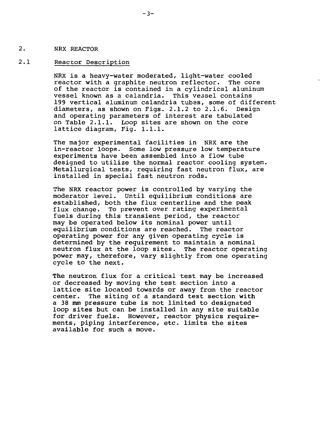### 2. NRX REACTOR

## 2.1 Reactor Description

NRX is a heavy-water moderated, light-water cooled reactor with a graphite neutron reflector. The core of the reactor is contained in a cylindrical aluminum vessel known as a calandria. This vessel contains 199 vertical aluminum calandria tubes, some of different diameters, as shown on Figs. 2.1.2 to 2.1.6. Design and operating parameters of interest are tabulated on Table 2.1.1. Loop sites are shown on the core lattice diagram, Fig. 1.1.1.

The major experimental facilities in NRX are the in-reactor loops. Some low pressure low temperature experiments have been assembled into a flow tube designed to utilize the normal reactor cooling system. Metallurgical tests, requiring fast neutron flux, are installed in special fast neutron rods.

The NRX reactor power is controlled by varying the moderator level. Until equilibrium conditions are established, both the flux centerline and the peak flux change. To prevent over rating experimental fuels during this transient period, the reactor may be operated below its nominal power until equilibrium conditions are reached. The reactor operating power for any given operating cycle is determined by the requirement to maintain a nominal neutron flux at the loop sites. The reactor operating power may, therefore, vary slightly from one operating cycle to the next.

The neutron flux for a critical test may be increased or decreased by moving the test section into a lattice site located towards or away from the reactor center. The siting of a standard test section with a 38 mm pressure tube is not limited to designated loop sites but can be installed in any site suitable for driver fuels. However, reactor physics requirements, piping interference, etc. limits the sites available for such a move.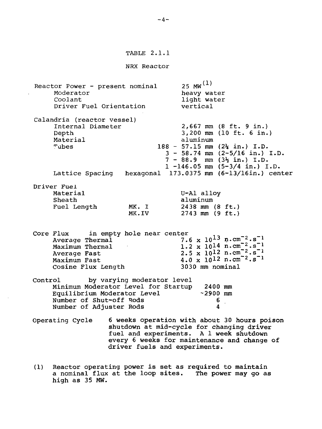#### NRX Reactor

Reactor Power - present nominal Moderator Coolant Driver Fuel Orientation  $25$  MW<sup>(1)</sup> heavy water light water vertical Calandria (reactor vessel) Internal Diameter Depth Material<br>Tubes 188 - 57.15 mm (2% in.) I.D. 3 - 58.74 mm (2-5/16 in.) I. D.  $7 - 88.9$  mm  $(3\frac{1}{2}$  in.) I.D. 2,667 mm (8 ft. 9 in.) 3,200 mm (10 ft. 6 in.) aluminum 1 -146.05 mm (5-3/4 in.) I.D. Lattice Spacing hexagonal 173.0375 mm (6-13/16in.) center Driver Fuel Material Sheath Fuel Length MK. I MK.IV U-Al alloy aluminum 2438 mm (8 ft.) 2743 mm (9 ft.) Core Flux in empty hole near center<br>1.0 Average Thermal  $7.6 \times 10^{13} \text{ n.cm}^{-2} \cdot \text{s}^{-1}$ Maximum Thermal Average Fast Maximum Fast Cosine Flux Length  $1.2 \times 10^{14} \text{ n.cm}^{-2} \text{ s}^{-1}$  $2.5 \times 10^{12} \text{ n} \cdot \text{cm}^{-2} \cdot \text{s}^{-1}$  $4.0 \times 10^{12} \text{ n.cm}^{-2} \text{ s}^{-1}$ 3030 mm nominal Control by varying moderator level Minimum Moderator Level for Startup 2400 mm Equilibrium Moderator Level Number of Shut-off Rods<br>
Number of Adjuster Rods<br>
4 Number of Adjuster Rods 4 Operating Cycle 6 weeks operation with about 30 hours poison

- shutdown at mid-cycle for changing driver fuel and experiments. A 1 week shutdown every 6 weeks for maintenance and change of driver fuels and experiments.
- (1) Reactor operating power is set as required to maintain a nominal flux at the loop sites. The power may go as high as 35 MW.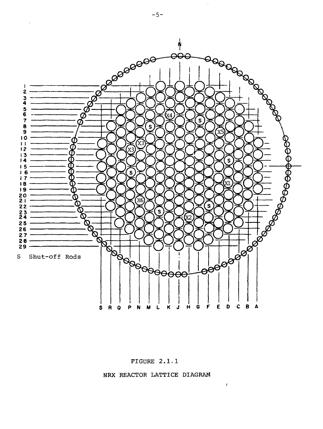

FIGURE 2.1.1



 $\bar{t}$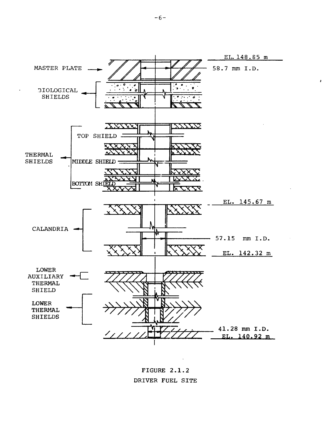

**FIGURE 2.1.2** DRIVER FUEL SITE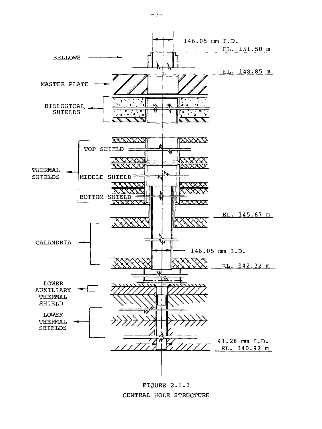

FIGURE 2.1.3 CENTRAL HOLE STRUCTURE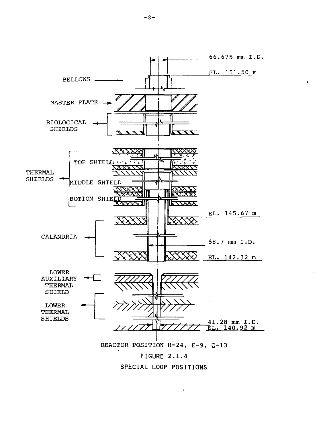

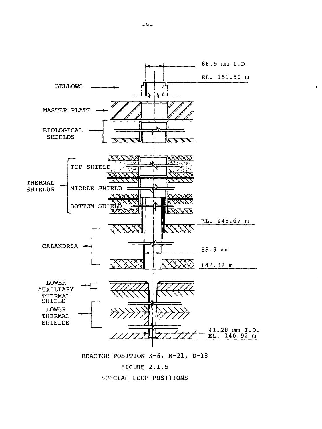

REACTOR POSITION K-6, N-21, D-18

**FIGURE 2.1.5**



 $\mathbf{r}$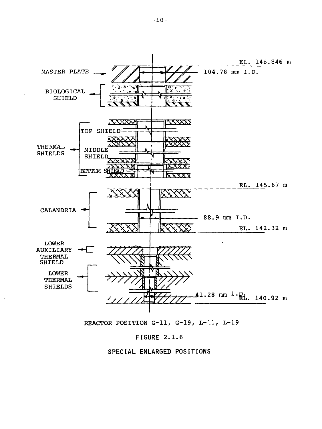

REACTOR POSITION G-ll, G~19, L-ll, L-19

# **FIGURE 2.1.6**

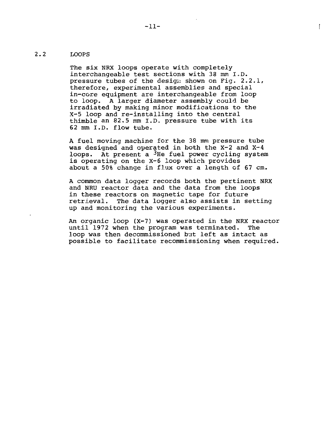# 2.2 LOOPS

The six NRX loops operate with completely interchangeable test sections with 38 mm I.D. pressure tubes of the design shown on Fig. 2.2.1, therefore, experimental assemblies and special in-core equipment are interchangeable from loop to loop. A larger diameter assembly could be irradiated by making minor modifications to the X-5 loop and re-installing into the central thimble an 82.5 mm I.D. pressure tube with its 62 mm I.D. flow tube.

A fuel moving machine for the 38 mm pressure tube was designed and operated in both the X-2 and X-4 loops. At present a  $3$ He fuel power cycling system is operating on the X-6 loop which provides about a 50% change in flux over a length of 67 cm.

A common data logger records both the pertinent NRX and NRU reactor data and the data from the loops in these reactors on magnetic tape for future retrieval. The data logger also assists in setting up and monitoring the various experiments.

An organic loop (X-7) was operated in the NRX reactor until 1972 when the program was terminated. The loop was then decommissioned but left as intact as possible to facilitate recommissioning when required.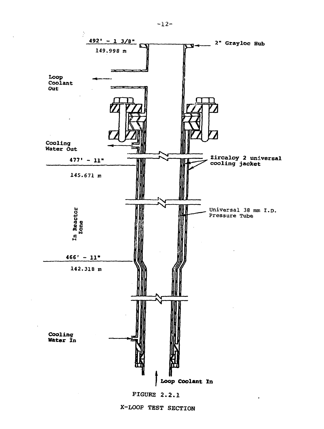

X-LOOP TEST SECTION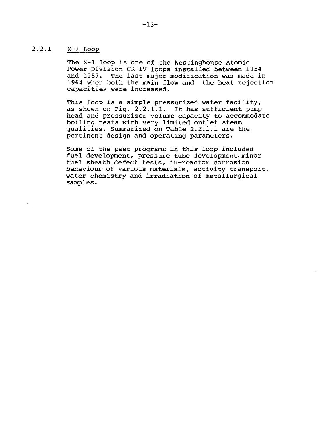# 2.2.1 X-l Loop

 $\mathcal{O}(\mathcal{A})$ 

The X-l loop is one of the Westinghouse Atomic Power Division CR-IV loops installed between 1954 and 1957. The last major modification was made in 1964 when both the main flow and the heat rejection capacities were increased.

This loop is a simple pressurized water facility, as shown on Fig. 2.2.1.1. It has sufficient pump head and pressurizer volume capacity to accommodate boiling tests with very limited outlet steam qualities. Summarized on Table 2.2.1.1 are the pertinent design, and operating parameters.

Some of the past programs in this loop included fuel development, pressure tube development, minor fuel sheath defect tests, in-reactor corrosion behaviour of various materials, activity transport, water chemistry and irradiation of metallurgical samples.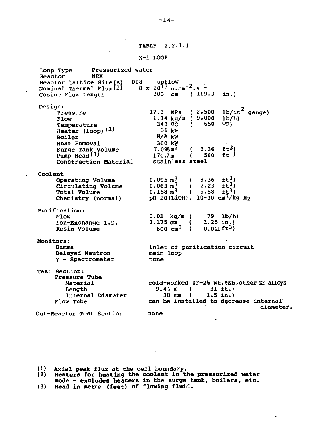TABLE 2.2.1.1

#### X-l LOOP

Loop Type Pressurized water<br>Reactor NRX Reactor Reactor Lattice Site(s) D18 upflow Nominal Thermal Flux $\texttt{(l)} \qquad \texttt{8}\text{ x }10^{13}\text{ n.cm}^{-2}.\text{s}^{-1}$ Cosine Flux Length  $303 \text{ cm}$  (119.3 in.) Design: Pressure Flow Temperature Heater  $(logp)$ <sup>(2)</sup> Boiler Heat Removal Surge Tank Volume Pump Head  $(3)$ Construction Material 17.3 MPa ( 2,500 1.14 kg/s ( 9,000 343 6c ( 650 36 kW N/A kW 300 kW  $0.095<sup>m3</sup>$ 170.7m stainless steel ( 3.36  $ft^3$ ) ( 560 ft ) lb/in gauge)  $1<sub>b</sub>/h$ )  $O_{\mathbf{F}}$ Coolant Operating Volume Circulating Volume Total Volume Chemistry (normal) Purification: Flow Ion-Exchange I.D. Resin Volume Monitors: Gamma Delayed Neutron Y - Spectrometer Test Section: Pressure Tube Material Length Internal Diamater Flow Tube Out-Reactor Test Section  $0.095 \text{ m}^3$  ( 3.36 ft<sup>3</sup>)  $0.063 \text{ m}^3$  ( 2.23 ft<sub>2</sub>)  $0.158 \text{ m}^3$  ( 5.58 ft<sup>3</sup>) pH 10(LiOH), 10-30 cm3/kg H<sup>2</sup> 0.01 kg/s ( 79 lb/h)<br>3.175 cm ( 1.25 in.) 3.175 cm (  $1.25$  in.)<br>600 cm<sup>3</sup> (  $0.021$  ft<sup>3</sup>) 600  $cm^3$  ( inlet of purification circuit main loop none cold-worked Zr-2} wt.%Nb, other Zr alloys 9.41 m ( 31 ft.) 38 mm ( 1.5 in.) can be installed to decrease internal diameter, none

**(1) Axial peak flux at the cell boundary.**

**(2) Heaters for heating the coolant in the pressurized water mode - excludes heaters in the surge tank, boilers, etc.**

**(3) Head in metre (feet) of flowing fluid.**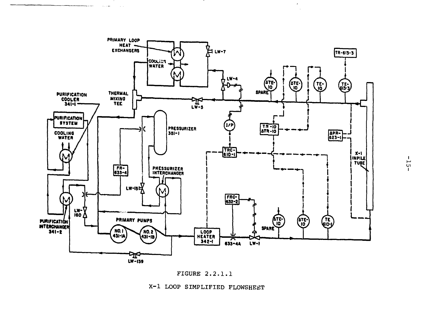

. . . .

 $\sim$   $\sim$   $\sim$   $\sim$ 

 $\mathbf{r}$ 



X-1 LOOP SIMPLIFIED FLOWSHEET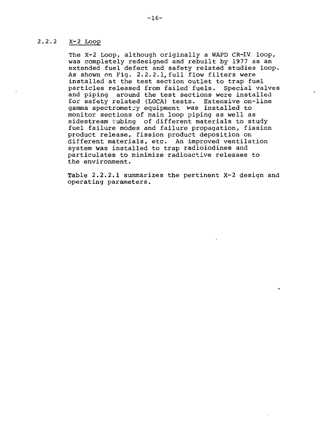# 2.2.2 X-2 Loop

The X-2 Loop, although originally a WAPD CR-IV. loop, was completely redesigned and rebuilt by 1977 as an extended fuel defect and safety related studies loop. As shown on Fig. 2.2.2.1,full flow filters were installed at the test section outlet to trap fuel particles released from failed fuels. Special valves and piping around the test sections were installed for safety related (LOCA) tests. Extensive on-line gamma spectrometry equipment was installed to monitor sections of main loop piping as well as sidestream tubing of different materials to study fuel failure modes and failure propagation, fission product release, fission product deposition on different materials, etc. An improved ventilation system was installed to trap radioiodines and particulates to minimize radioactive releases to the environment.

Table 2.2.2.1 summarizes the pertinent X-2 design and operating parameters.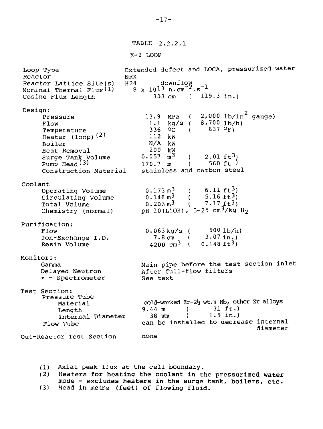TABLE 2.2.2.1

 $X-2$  LOOP

Loop Type Reactor Reactor Lattice Site(s) Extended defect and LOCA, pressurized water NRX<br>H24  $8 \times 10^{13}$  n.cm<sup>-2</sup>.s<sup>-1</sup>  $2,000$  lb/in<sup>2</sup> gauge) Nominal Thermal Flux $(1)$ Cosine Flux Length Design: Pressure Flow Temperature Heater  $(log_{10} (2)$ Boiler Heat Removal Surge Tank Volume Pump Head<sup>(3)</sup> Construction Material 303 cm 13.9 MPa 1.1 336 °C 112 kW N/A kW 200 kW  $0.057$  m<sup>3</sup> 170.7 m kg/s ( ( 119.3 in.)  $\left($  $\sim$  (  $\mathfrak{c}$  $\overline{(\ }$ stainless and carbon steel 8,700 637  $2.01$  ft<sup>3</sup>) 560 ft ) lb/h)  $\mathrm{o}_{\mathrm{F}}$  ) Coolant Operating Volume Circulating Volume Total Volume Chemistry (normal) Purification: Flow Ion-Exchange I.D. Resin Volume Monitors: Gamma Delayed Neutron Y - Spectrometer Test Section: Pressure Tube Material Length Internal Diameter Flow Tube Out-Reactor Test Section  $0.173 \text{ m}^3$  (  $6.11 \text{ ft}^3$ )<br>  $0.146 \text{ m}^3$  (  $5.16 \text{ ft}^3$ )<br>  $0.203 \text{ m}^3$  (  $7.17 \text{ ft}^3$ ) 5.16  $ft^3$ <br>7.17  $ft^3$  $0.203 \text{ m}^3$ pH 10(LiOH), 5-25  $cm^3/kg$  H<sub>2</sub> 0.063kg/s (  $7.8 \text{ cm}$  ( 4200 cm<sup>3</sup> ( 500 lb/h) 3.07 in.)  $0.148$  ft<sup>3</sup>) Main pipe before the test section inlet After full-flow filters See text cold-worked  $Zr-2\frac{1}{2}$  wt.% Nb, other Zr alloys<br>9.44 m (31 ft.)  $9.44 \text{ m}$  ( 38 mm ( 1.5 in.) can be installed to decrease internal diameter none

(1) Axial peak flux at the cell boundary.

**(2)** Heaters **for heating the coolant in the pressurized water** mode - **excludes heaters in the surge tank, boilers, etc.** (3) Head **in** metre **(feet) of flowing fluid.**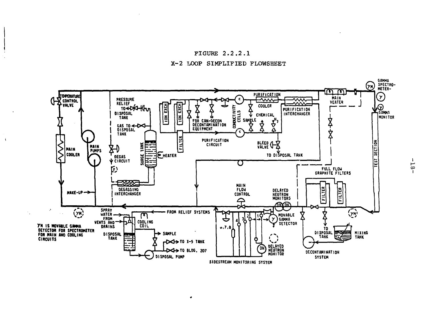



 $\rightarrow$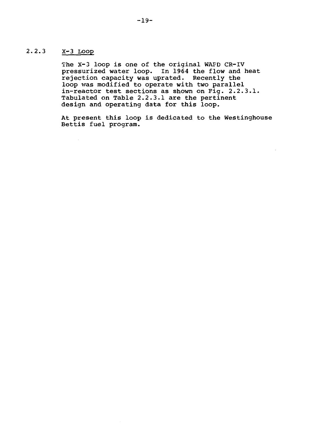# 2.2.3 X-3 Loop

 $\mathcal{A}$ 

The X-3 loop is one of the original WAFD CR-IV pressurized water loop. In 1964 the flow and heat rejection capacity was uprated. Recently the loop was modified to operate with two parallel in-reactor test sections as shown on Fig. 2.2.3.1. Tabulated on Table 2.2.3.1 are the pertinent design and operating data for this loop.

At present this loop is dedicated to the Westinghouse Bettis fuel program.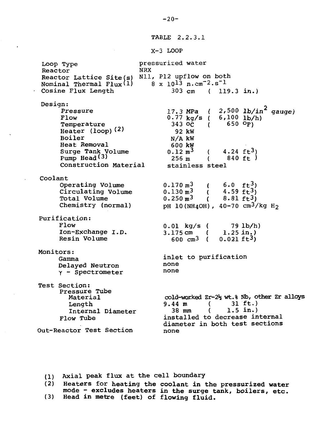TABLE 2.2.3.1

X-3 LOOP

Loop Type Reactor Reactor Lattice Site(s) Nll, Pl2 upflow on both Nominal Thermal  $Flux(1)$ Cosine Flux Length pressurized water NRX  $8 \times 10^{13} \text{ n} \cdot \text{cm}^{-2} \cdot \text{s}^{-1}$ 303 cm ( 119.3 in.) Design: Pressure Flow Temperature Heater  $(logp)$   $(2)$ Boiler Heat Removal Surge Tank Volume Pump Head $(3)$ Construction Material Coolant Operating Volume Circulating Volume Total Volume Chemistry (normal) Purification: Flow Ion-Exchange I.D. Resin Volume Monitors: Gamma Delayed Neutron  $y -$  Spectrometer Test Section: Pressure Tube Length Dength<br>Intern Internal Diameter Flow Tube Out-Reactor Test Section 17.3 MPa ( 2,500 lb/in<sup>2</sup> gauge)<br>0.77 kq/s ( 6,100 lb/h)  $0.77 \text{ kg/s}$  (<br>343 OC ( 343 oc (650 <sup>o</sup>F)<br>92 kW  $N/A$  kW 600 kW  $0.12 \text{ m}^3$ 256 m  $($  4.24 ft<sup>3</sup>)<br>( 840 ft) 258 m ( 840 ft ) stainless steel  $0.170 \; \text{m}^3$  $\binom{6}{1}$  $0.130 \text{ m}^3$  (  $0.250 \text{ m}^3$  $\left($  $pH$  10(NH4OH), 40-70 cm<sup>3</sup>/kg H<sub>2</sub> 0.01 kg/s ( 3.175 cm ( 600  $cm^3$  ( 6.0  $ft_2^3$ 4.59  $\bar{f}t^3$ )  $8.81 \text{ ft}^3$ 79 lb/h) 1.25 in.)  $0.021$   $\text{ft}^3$ ) inlet to purification none none cold-worked Zr-2% wt.% Nb, other Zr alloys 9.44 m ( 31 ft..)  $9.44 \text{ m}$  <br>38 mm (  $1.5 \text{ in.}$ ) installed to decrease internal diameter in both test sections none

(1) Axial **peak** flux **at** the cell boundary

**(2) Heaters for heating the coolant in the pressurized water** mode **- excludes heaters** in **the surge tank, boilers, etc. (3) Head in metre (feet) of flowing fluid.**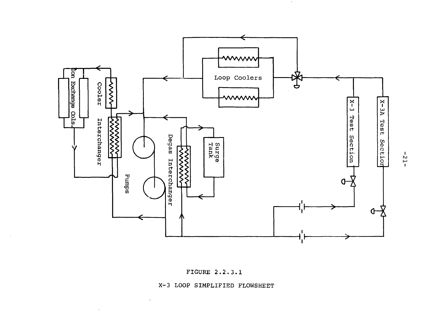



 $\sim$ 

X-3 LOOP SIMPLIFIED FLOWSHEET

 $\overline{\phantom{a}}$ 

 $\sim$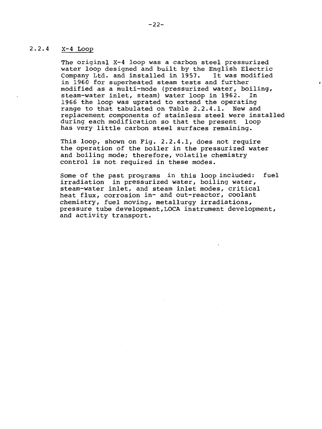# 2.2.4 X-4 Loop

The original X-4 loop was a carbon steel pressurized water loop designed and built by the English Electric<br>Company Ltd. and installed in 1957. It was modified Company Ltd. and installed in 1957. in 1960 for superheated steam tests and further modified as a multi-mode (pressurized water, boiling, steam-water inlet, steam) water loop in 1962. In 1966 the loop was uprated to extend the operating range to that tabulated on Table 2.2.4.1. New and replacement components of stainless steel were installed during each modification so that the present loop has very little carbon steel surfaces remaining.

This loop, shown on Fig. 2.2.4.1, does not require the operation of the boiler in the pressurized water and boiling mode; therefore, volatile chemistry control is not required in these modes.

Some of the past programs in this loop included: fuel irradiation in pressurized water, boiling water, steam-water inlet, and steam inlet modes, critical heat flux, corrosion in- and out-reactor, coolant chemistry, fuel moving, metallurgy irradiations, pressure tube development,LOCA instrument development, and activity transport.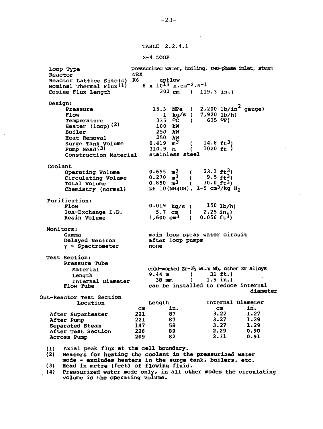TABLE 2.2.4. 1

X-4 LOOP

pressurized water, boiling, two-phase inlet, steam Loop Type Reactor NRX Reactor Lattice Site(s) K6 upflow  $8 \times 10^{13}$  n.cm<sup>-2</sup>.s<sup>-1</sup> Nominal Thermal Flux<sup>(1)</sup> 303 cm { 119.3 **in.)** Cosine Flux Length **Design:**  $\mathbf{r}$ **Pressure** 15.3 MPa 2,200 lb/in" gauge) 1 7,920 lb/h) **Flow** kg/s **Temperature** 335 OČ<br>kW 635  $O_{F}$ )  $\left($ **Heater (loop) <2)** 100 **Boiler** 250 kW 250 KW<br>250 KW **Heat Removal**  $0.419$   $m^3$ **Surge Tank volume**  $14.8 \text{ ft}^3$ 310.9 m **Pump Head<<sup>3</sup> >** 1020  $ft$ ) 1 m stainless steel **Construction Material** Coolant  $0.655 \text{ m}^3$  ( 23.1 ft.<sup>3</sup>) Operating Volume  $0.270$  m<sup>3</sup><br>0.850 m<sup>3</sup>  $($   $9.5 \text{ ft}^3)$ <br>  $($   $30.0 \text{ ft}^3)$ Circulating Volume  $0.850 \text{ m}^3$  (  $30.0 \text{ ft}^3$ ) Total Volume pH 10(NH4OH), 1-5 cm<sup>3</sup>/kg H<sub>2</sub> Chemistry (normal) Purification: 0.019 kg/s  $150$   $1b/h$ ) Flow Ion-Exchange I.D. 5.7 cm 2.25 in.)  $0.056$   $ft^3$ ) Resin Volume  $1,600 \text{ cm}^3$  $\mathcal{L}$ Monitors: main loop spray water circuit Gamma Delayed Neutron after loop pumps y - Spectrometer none Test Section: Pressure Tube **cold-worked** *Zr-2H* **wt.% Nb, other Zr alloys** Material **9.44 m ( 31 ft.)** Length **38 mm ( 1.5 in.)** Internal Diameter can be installed to reduce internal Flow Tube **diameter** Out-Reactor Test Section **Internal Diameter** Location Length **i n .** cm in. **cm** After Superheater 221 87<br>221 87 **3.22 1.27 3.27** After Pump 221 87<br>147 58 **1.29 3.27** Separated Steam 147 58 **1.29 2.29 0.90** After Test Section 226 89 209 2.31 **0.91** Across Pump

(1) Axial peak flux at the cell boundary.

(2) **Heaters for heating the coolant in the pressurized water mode - excludes heaters in the surge tank, boilers, etc.**

**(3) Head in metre (feet) of flowing fluid.**

**(4)** Pressurized water mode only, in all other modes **the circulating** volume is the operating volume.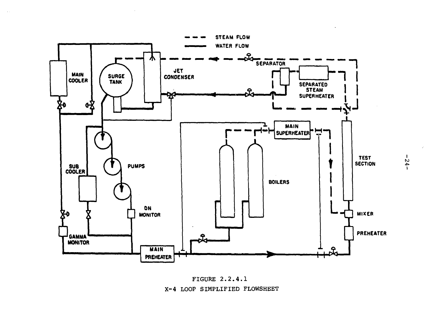



 $-54-$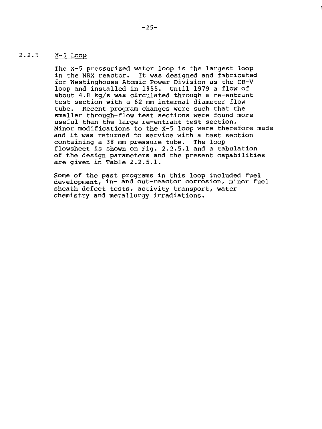# 2.2.5 X-5 Loop

The X-5 pressurized water loop is the largest loop in the NRX reactor. It was designed and fabricated for Westinghouse Atomic Power Division as the CR-V loop and installed in 1955. Until 1979 a flow of about 4.8 kg/s was circulated through a re-entrant test section with a 62 mm internal diameter flow tube. Recent program changes were such that the smaller through-flow test sections were found more useful than the large re-entrant test section. Minor modifications to the X-5 loop were therefore made and it was returned to service with a test section containing a 38 mm pressure tube. The loop flowsheet is shown on Fig. 2.2.5.1 and a tabulation of the design parameters and the present capabilities are given in Table 2.2.5.1.

Some of the past programs in this loop included fuel development, in- and out-reactor corrosion, minor fuel sheath defect tests, activity transport, water chemistry and metallurgy irradiations.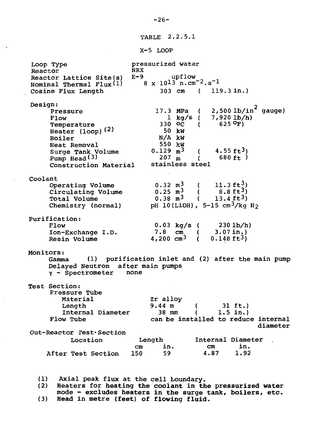TABLE 2.2.5.1

X-5 LOOP

Loop Type **Reactor** Reactor Lattice Site(s) Nominal Thermal  $Flux(1)$ Cosine Flux Length pressurized water NRX<br>E-9 E-9 upflow  $8 \times 10^{13} \text{ n.cm}^{-2} \text{ s}^{-1}$ 303 cm ( 119.3 in.) Design: Pressure Flow Temperature Heater  $(loop)^{(2)}$ Boiler Heat Removal Surge Tank Volume Pump Head<sup>(3)</sup> Construction Material 17.3 MPa ( 1 kg/s ( 330 oc ( 50 kW N/A kW 550 kW 0.129  $m^3$  ( 207 in ( stainless steel 2,500 lb/in gauge) 7,920 lb/h)  $625$   $^{\circ}$ F)  $4.55$   $ft3$ ) 680  $ft$ ) Coolant Operating Volume Circulating Volume Total Volume Chemistry (normal) Purification: Flow Ion-Exchange I.D. Resin Volume  $0.32 \text{ m}^3$  ( 11.3 ft<sup>3</sup>)<br>0.25 m<sup>3</sup> ( 8.8 ft<sup>3</sup>) 0.25 m<sup>3</sup> ( 8.8 ft<sup>3</sup>)<br>0.38 m<sup>3</sup> ( 13.4 ft<sup>3</sup>)  $13.4 \text{ ft}^3$ pH 10(LiOH), 5-15  $cm^3/kg$  H<sub>2</sub> 0.03 kg/s (  $7.8$  cm (<br> $7.200$  cm<sup>3</sup> ( 4,200  $cm<sup>3</sup>$ 230 lb/h) 3.07 in.)  $0.148$   $ft3)$ Monitors: Gamma (1) purification inlet and (2) after the main pump Delayed Neutron after main pumps<br>r - Spectrometer mone  $Y -$  Spectrometer Test Section: Pressure Tube Material Length Internal Diameter Flow Tube Out-Reactor **Test**\*Section Location After Test Section Zr alloy  $9.44 \text{ m}$  (  $31 \text{ ft.}$ )<br>38 mm (  $1.5 \text{ in.}$ )  $(1.5 in.)$ can be installed to reduce internal diameter Length cm in. 150 Internal Diameter cm in. 4.87

(1) Axial peak flux at the cell boundary.

Heaters for heating the coolant in the pressurized water mode - excludes heaters in the surge tank, boilers, etc. (3) Head in metre (feet) of flowing fluid.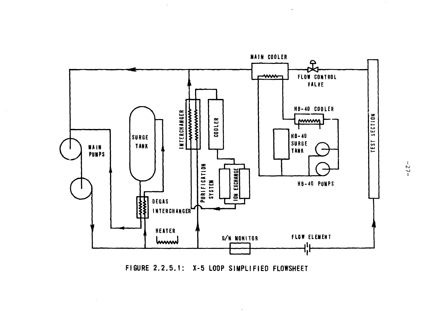

 $\hat{\mathcal{I}}$ 

**FIGURE 2.2.5.1: X-5 LOOP SIMPLIFIED FLOWSHEET**

 $-27-$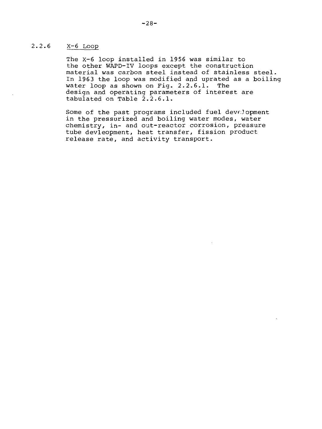# 2.2.6 X-6 Loop

The X-6 loop installed in 1956 was similar to the other WAPD-IV loops except the construction material was carbon steel instead of stainless steel. In 1963 the loop was modified and uprated as a boiling water loop as shown on Fig. 2.2.6.1. The design and operating parameters of interest are tabulated on Table 2.2.6.1.

Some of the past programs included fuel development in the pressurized and boiling water modes, water chemistry, in- and out-reactor corrosion, pressure tube devleopment, heat transfer, fission product release rate, and activity transport.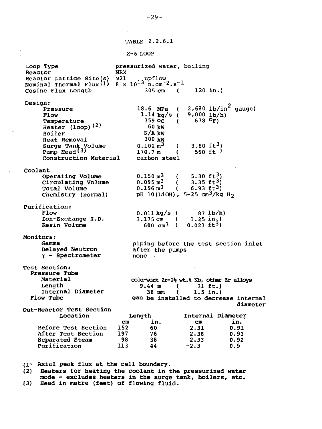TABLE 2.2.6.1

X-6 LOOP

Loop Type **pressurized water, boiling**<br>Reactor **NRX Reactor** NRX **Reactor Lattice Site(s) N21** upflow **Nominal Thermal Flux'<sup>1</sup>)** 8 **x** 10 <sup>1</sup> <sup>3</sup> n.cm~<sup>2</sup>.s~l **Cosine Flux Length** 305 cm ( 120 **in.) Design: Pressure Flow Temperature Heater (loop)( 2) Boiler Heat Removal Surge Tank Volume Pump Head(3) Construction Material Coolant Operating Volume Circulating Volume Total Volume Chemistry (normal) Purification: Flow Ion-Exchange I.D. Resin Volume Monitors: Gamma Delayed Neutron Y - Spectrometer Test Section: Pressure Tube Material Length Internal Diameter Flow Tube Out-Reactor Test Section Location Before Test Section After Test Section Separated Steam Purification** 18.6 **MPa** ( 1.14 **kg/s** ( 359 **oc** ( 60 **kW N/AkW** 300 **kW**  $0.102 \text{ m}^3$  (<br>170.7 m  $170.7 m$ carbon steel 2,680 **lb/in' gauge) 9,000 lb/h) 678 3.60 ft<sup>3</sup>)** 560 **ft )**  $0.150 \text{ m}^3$  ( 5.30 ft<sup>3</sup>)<br> $0.095 \text{ m}^3$  ( 3.35 ft<sup>3</sup>)  $0.095 \text{ m}^3$  <br>  $0.196 \text{ m}^3$  <br>  $0.196 \text{ m}^3$  <br>  $0.693 \text{ ft}^3$ 0.196 m<sup>3</sup> ( 6.93 ft<sup>3</sup>)<br>DH 10(LiOH) 5<del>.</del>25 cm<sup>3</sup>/ka  $p_{\text{H}}$  10(210h),  $\frac{1}{2}$  35 cm $\frac{1}{2}$   $\frac{1}{2}$ 0.011 kg/s ( 87 lb/h)<br>3.175 cm ( 1.25 in<sub>2</sub>) 3.175 cm  $(1.25 \text{ in.})$ <br>600 cm<sup>3</sup>  $(0.021 \text{ ft}^3)$  $600 \text{ cm}^3$  ( piping before the test section inlet after **the** pumps **none cold-work Zr-2>s wt.% Nb, other Zr alloys 9.44 m ( 31 ft.)**  $( 1.5 in.)$ **can be installed to decrease internal diameter Length cm in. 152 60 197 76 98 38 113 Internal Diameter cm in. 2.31 0.91 2.36 0.93 2.33 0.92**  $~72.3$ 

**(1» Axial peak flux at the cell boundary.**

**(2) Heaters for heating the coolant in the pressurized water mode - excludes heaters in the surge tank, boilers, etc. (3) Head in metre (feet) of flowing fluid.**

**-29-**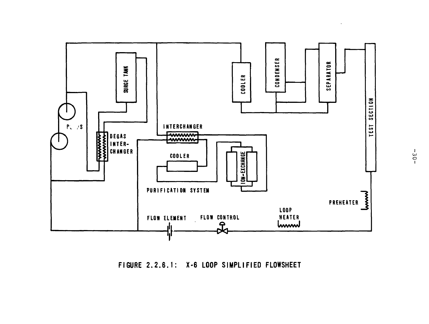

FIGURE 2.2.6.1: X-6 LOOP SIMPLIFIED FLOWSHEET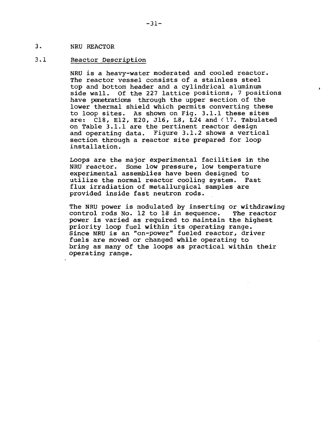# 3. NRU REACTOR

# 3.1 Reactor Description

NRU is a heavy-water moderated and cooled reactor. The reactor vessel consists of a stainless steel top and bottom header and a cylindrical aluminum side wall. Of the 227 lattice positions, 7 positions have penetrations through the upper section of the lower thermal shield which permits converting these to loop sites. As shown on Fig. 3.1.1 these sites are:  $C18$ , E12, E20, J16, L8, L24 and ( $17$ . Tabulated on Table 3.1.1 are the pertinent reactor design and operating data. Figure 3.1.2 shows a vertical section through a reactor site prepared for loop installation.

Loops are the major experimental facilities in the NRU reactor. Some low pressure, low temperature experimental assemblies have been designed to utilize the normal reactor cooling system. Fast flux irradiation of metallurgical samples are provided inside fast neutron rods.

The NRU power is modulated by inserting or withdrawing control rods No. 12 to 18 in sequence. The reactor  $control$  rods No. 12 to  $18$  in sequence. power is varied as required to maintain the highest priority loop fuel within its operating range. Since NRU is an "on-power" fueled reactor, driver fuels are moved or changed while operating to bring as many of the loops as practical within their operating range.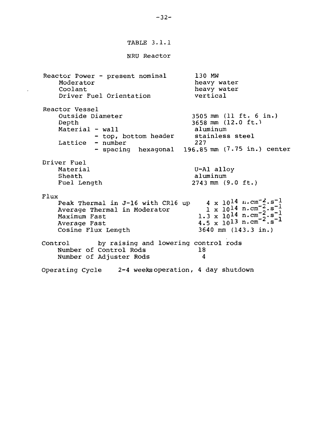TABLE 3.1.1

NRU Reactor

Reactor Power - present nominal Moderator Coolant Driver Fuel Orientation Reactor Vessel Outside Diameter Depth Material - wall - top, bottom header Lattice 130 MW heavy water heavy water vertical 3505 mm (11 ft. 6 in.) 3658 mm (12.0 ft.) aluminum stainless steel 227 - spacing hexagonal 196.85 mm (7.75 in.) center Driver Fuel Material Sheath Fuel Length U-Al alloy aluminum 2743 mm (9.0 ft.) Flux Peak Thermal in J-16 with CR16 up Average Thermal in Moderator Maximum Fast Average Fast Cosine Flux Length  $4 \times 10^{14}$  n.cm<sup>-2</sup>.s<sup>-1</sup>  $1 \times 10^{14}$  n.cm  $1.3 \times 10^{14}$  n.cm<sup> $-$ </sup> 1.3 x  $10^{14}$  n.cm  $2 \cdot s - 1$ <br>4.5 x  $10^{13}$  n.cm  $2 \cdot s - 1$ 3640 mm (143.3 in.) Control by raising and lowering control rods Number of Control Rods 18<br>Number of Adjuster Rods 4 Number of Adjuster Rods 4 Operating Cycle 2-4 weeks operation, 4 day shutdown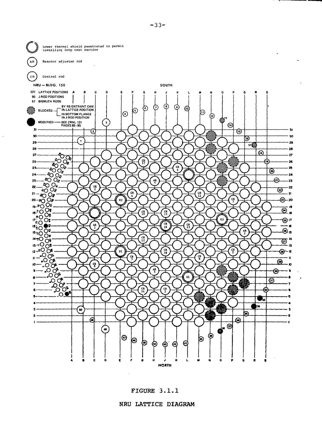

FIGURE 3.1.1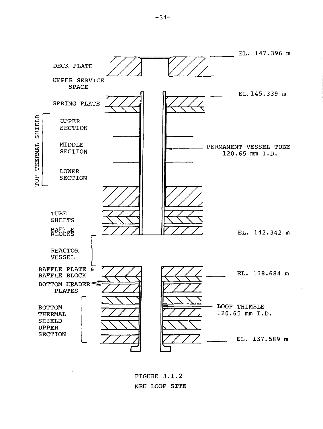

FIGURE 3.1.2 NRU LOOP SITE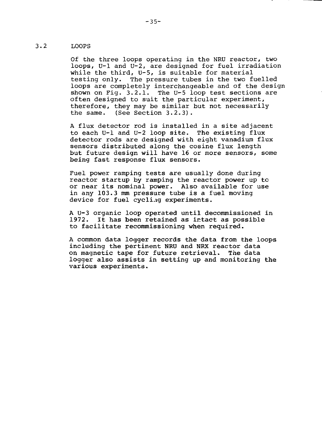# 3.2 LOOPS

Of the three loops operating in the NRU reactor, two loops, U-l and U-2, are designed for fuel irradiation while the third, U-5, is suitable for material testing only. The pressure tubes in the two fuelled loops are completely interchangeable and of the design shown on Fig. 3.2.1. The U-5 loop test sections are often designed to suit the particular experiment, therefore, they may be similar but not necessarily the same. (See Section 3.2.3).

A flux detector rod is installed in a site adjacent to each U-l and U-2 loop site. The existing flux detector rods are designed with eight vanadium flux sensors distributed along the cosine flux length but future design will have 16 or more sensors, some being fast response flux sensors.

Fuel power ramping tests are usually done during reactor startup by ramping the reactor power up to or near its nominal power. Also available for use in any 103.3 mm pressure tube is a fuel moving device for fuel cycling experiments.

A U-3 organic loop operated until decommissioned in 1972. It has been retained as intact as possible to facilitate recommissioning when required.

A common data logger records the data from the loops including the pertinent NRU and NRX reactor data on magnetic tape for future retrieval. The data logger also assists in setting up and monitoring the various experiments.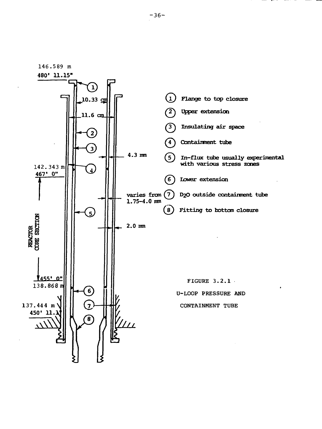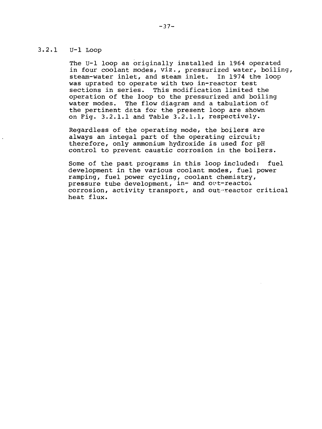# 3.2.1 U-l Loop

The U-l loop as originally installed in 1964 operated in four coolant modes, viz., pressurized water, boiling, steam-water inlet, and steam inlet. In 1974 the loop was uprated to operate with two in-reactor test sections in series. This modification limited the operation of the loop to the pressurized and boiling water modes. The flow diagram and a tabulation of the pertinent data for the present loop are shown on Pig. 3.2.1.1 and Table 3.2.1.1, respectively.

Regardless of the operating mode, the boilers are always an integal part of the operating circuit; therefore, only ammonium hydroxide is used for pH control to prevent caustic corrosion in the boilers.

Some of the past programs in this loop included: fuel development in the various coolant modes, fuel power ramping, fuel power cycling, coolant chemistry, pressure tube development, in- and out-reactoi corrosion, activity transport, and out-reactor critical heat flux.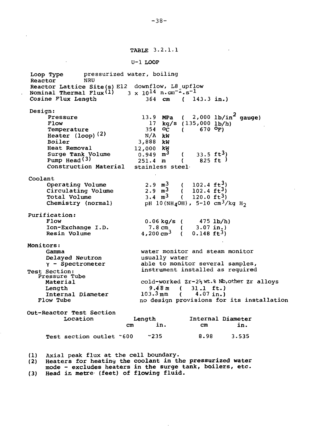TABLE 3.2.1.1

#### U-l LOOP

Loop Type pressurized water, boiling Reactor **NRU** Reactor Lattice Site(s) El2 downflow, L8 upflow Nominal Thermal Flux<sup>(1)</sup> 3 x 10<sup>14</sup> n.cm<sup>-2</sup>.s<sup>-1</sup> Cosine Flux Length 364 cm ( 143.3 in.) Design: **MPa**  $(2,000 \text{ lb/in}^2 \text{ gauge})$ Pressure 13.9<br>Flow 17 **kg/s** (135,000 **lb/h)** Flow 17<br>Temperature 354  $(670)$  <sup>O</sup>F) Temperature  $\mathcal{O}_C$ Heater  $(loop)$  $(2)$ **kW** Boiler 3,888 kW Heat Removal **kW**  $33.5 \text{ ft}^3$ Surge Tank Volume **m 3**  $\mathfrak{c}$ Pump Head<sup>(3)</sup> 251.4 m (251.4 m) **in** 825 ft )  $\sqrt{ }$ Construction Material Coolant  $2.9 \, m<sup>3</sup>$  $(102.4 \text{ ft}^3)$ Operating Volume  $2.9 \text{ m}^3$ Circulating Volume  $(102.4 \text{ ft}^3)$  $3.4 \text{ m}^3$ Total Volume (  $120.0 \text{ ft}^3$ )  $\rm _{PH}$  10(NH $\rm _4$ OH), 5-10 cm $\rm ^3/kg$  H $\rm _2$ Chemistry (normal) Purification: Flow  $0.06 \text{ kg/s}$  (  $475 \text{ lb/h}$ ) Ion-Exchange I.D. 7.8 cm (  $3.07$  in.)<br>200 cm<sup>3</sup> (  $0.148$  ft<sup>3</sup>) 4,200 cm<sup>3</sup> ( Resin Volume Monitors: water monitor and steam monitor Gamma Delayed Neutron usually water  $Y -$  Spectrometer able to monitor several samples, instrument installed as required Test Section: Pressure Tube cold-worked  $2r-2\frac{1}{2}wt.$  Nb, other  $2r$  alloys<br>9.48 m (31.1 ft.) Material  $9.48 \text{ m}$  ( 31.1 ft.)<br>103.3 mm ( 4.07 in.) Length Internal Diameter  $(4.07 in.)$ Flow Tube no design provisions for its installation Out-Reactor Test Section Location Internal Diameter Length cm in. cm in.

(1) Axial peak flux at the cell boundary.

**(2) Heaters** for heating **the coolant in the pressurized water**

Test section outlet ~600 -235 8.98 3.535

**mode - excludes heaters in the surge tank, boilers, etc.**

**(3) Head in metre (feet) of flowing fluid.**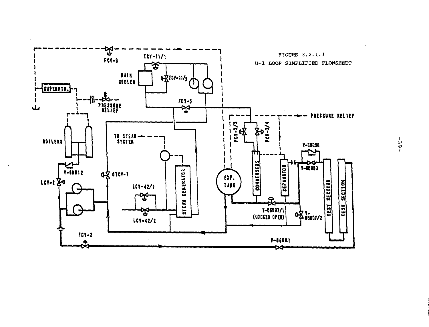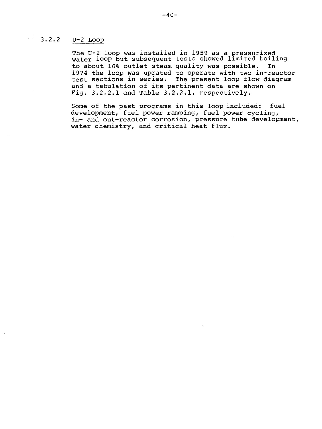# $3.2.2$   $U-2$  Loop

The U-2 loop was installed in 1959 as a pressurized water loop but subsequent tests showed limited boiling to about 10% outlet steam quality was possible. In 1974 the loop was uprated to operate with two in-reactor test sections in series. The present loop flow diagram and a tabulation of its pertinent data are shown on Fig. 3.2.2.1 and Table 3.2.2.1, respectively.

Some of the past programs in this loop included: fuel development, fuel power ramping, fuel power cycling, in- and out-reactor corrosion, pressure tube development, water chemistry, and critical heat flux.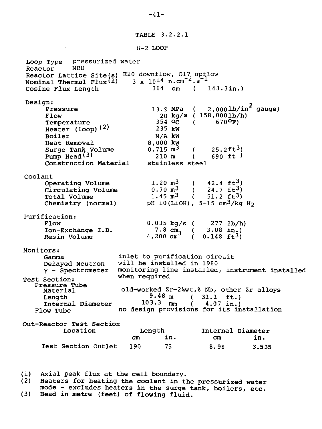TABLE 3.2.2.1

```
U-2 LOOP
```
Loop Type pressurized water<br>Reactor NRU Reactor NRU Reactor Lattice Site(s)  $E20$  downflow, 017 upflow Nominal Thermal Flux<sup>(1)</sup>  $3 \times 10^{14}$  n.cm<sup>-2</sup>.s Cosine Flux Length 364 cm ( 143.3in.) Design:  $2$ ,000lb/in $^{\texttt{z}}$  gauge) Pressure 13.9 MPa<br>Flow 20 kg/s  $\overline{ }$ Flow 20 kg/s ( 158,0001b/h) Temperature 200 354 oc  $670^{\circ}$ F) Heater  $(loop)(2)$ 235 kW Boiler N/A kW Heat Removal 8,000 kW (  $25.2 \text{ ft}^3$ )<br>(  $690 \text{ ft}$ ) Surge Tank Volume  $0.715$  m<sup>3</sup><br>Pump Head<sup>(3)</sup> 210 m Pump Head<sup>(3)</sup> 210 m (<br>Construction Material stainless steel Construction Material Coolant  $(42.4 \text{ ft}^3)$  $1.20$   $m<sup>3</sup>$ Operating Volume  $(24.7 \text{ ft}^3)$  $0.70 \, \text{m}^3$ Circulating Volume  $(51.2 \text{ ft}^3)$ Total Volume  $1.45$  m<sup>3</sup>  $pH$  10(LiOH), 5-15  $cm^3/kg$   $H_2$ Chemistry (normal) Purification:  $0.035 \text{ kg/s}$  (<br>7.8 cm, ( Flow 277 lb/h) 7.8  $\text{cm}^2$  ( Ion-Exchange I.D. 3.08 in.)  $4,200$   $\text{cm}^3$  (  $0.148$   $\text{ft}^{3}$ ) Resin Volume Monitors: inlet to purification circuit Gamma will be installed in 1980 Delayed Neutron monitoring line installed, instrument installed Y - Spectrometer when required Test Section: Pressure Tube old-worked Zr-2%wt.% Nb, other Zr alloys Material  $9.48 \text{ m}$  ( 31.1 ft.)<br>103.3 mm ( 4.07 in.) Length  $(4.07 \text{ in.})$ Internal Diameter no design provisions for its installation Flow Tube Out-Reactor Test Section Location Length Internal Diameter cm in. cm in. Test Section Outlet 190 75 8.98 3.535

(1) Axial peak flux at the cell boundary.

(2) Heaters for heating the coolant in the pressurized water mode - excludes heaters in the surge tank, boilers, etc.

(3) Head in metre (feet) of flowing fluid.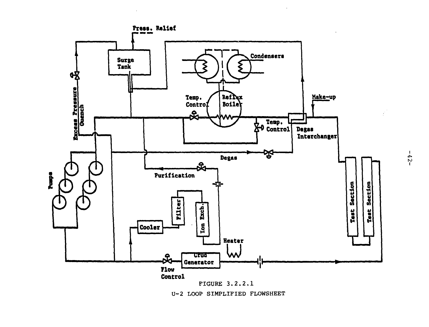

U-2 LOOP SIMPLIFIED FLOWSHEET

 $-25-$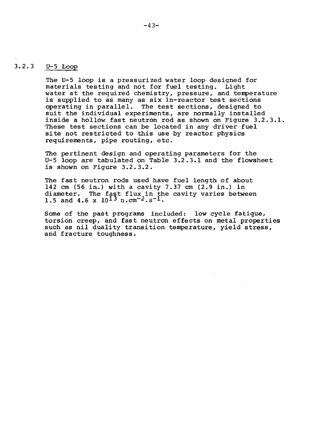# 3.2.3 U-5 Loop

The U-5 loop is a pressurized water loop designed for materials testing and not for fuel testing. Light water at the required chemistry, pressure, and temperature is supplied to as many as six in-reactor test sections operating in parallel. The test sections, designed to suit the individual experiments, are normally installed inside a hollow fast neutron rod as shown on Figure 3.2.3.1. These test sections can be located in any driver fuel site not restricted to this use by reactor physics requirements, pipe routing, etc.

The pertinent design and operating parameters for the U-5 loop are tabulated on Table 3.2.3.1 and the flowsheet is shown on Figure 3.2.3.2.

The fast neutron rods used have fuel length of about 142 cm (56 in.) with a cavity 7.37 cm (2.9 in.) in diameter. The fast flux in the cavity varies between 1.5 and 4.6 x  $10^{13}$  n.cm<sup>-2</sup>.s<sup>-1</sup>.

Some of the past programs included: low cycle fatigue, torsion creep, and fast neutron effects on metal properties such as nil duality transition temperature, yield stress, and fracture toughness.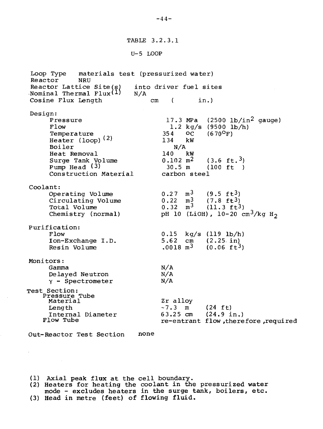TABLE 3.2.3.1

 $U-5$  LOOP

Loop Type materials test (pressurized water) Reactor NRU Reactor Lattice Site(s) into driver fuel sites<br>Nominal Thermal Flux<sup>(1)</sup> N/A Nominal Thermal  $Flux(1)$ Cosine Flux Length cm ( in.) Design: Pressure Flow Temperature Heater (loop)<sup>(2)</sup> Boiler Heat Removal Surge Tank Volume Pump Head (3) Construction Material Coolant: Operating Volume Circulating Volume Total Volume Chemistry (normal) Purification: Flow Ion-Exchange I.D. Resin Volume Monitors: Gamma Delayed Neutron  $Y -$  Spectrometer Test Section: Pressure Tube Material Length Internal Diameter Flow Tube Out-Reactor Test Section  $17.3$  MPa (2500 lb/in<sup>2</sup> gauge) 1.2 kg/s  $(9500 \text{ lb/h})$ <br>4 OC  $(670^{\circ}$ F) 354 OC<br>134 kW  $134$ N/A  $140^{-1}$  $0.102$  m<sup>2</sup> 30.5 m  $(670^{\circ}F)$  $(3.6 \text{ ft.}^3)$  $(100 \text{ ft})$ carbon stee l  $0.27$  m<sup>3</sup><br>0.22 m<sup>3</sup>  $0.22$  m<sup>3</sup><br>0.32 m<sup>3</sup>  $0.32$  $(9.5 \text{ ft}^3)$  $(7.8 \text{ ft}^3)$  $(11.3 \text{ ft}^3)$ pH 10 (LiOH),  $10-20$   $\rm cm^3/kg$  H $\rm _2$  $0.15 \text{ kg/s}$  (119 lb/h)<br>5.62 cm (2.25 in)  $(2.25. in)$  $.0018$   $m<sup>3</sup>$  $(0.06 \text{ ft}^3)$ N/A N/A N/A Zr alloy  $\sim$ 7.3 m (24 ft)<br>63.25 cm (24.9 i  $(24.9 \text{ in.})$ re-entrant flow ,therefore ,required none

(1) Axial peak flux at the cell boundary.

ä,

(2) Heaters for heating the coolant in the pressurized water mode - excludes heaters in the surge tank, boilers, etc. (3) Head in metre (feet) of flowing fluid.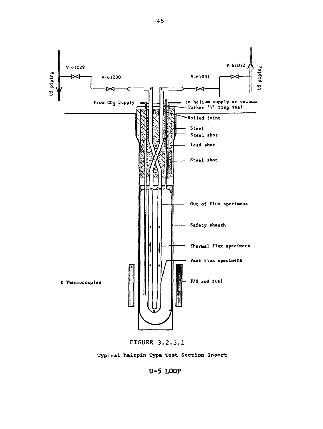



Typical hairpin Type Test Section Insert

U-5 LOOP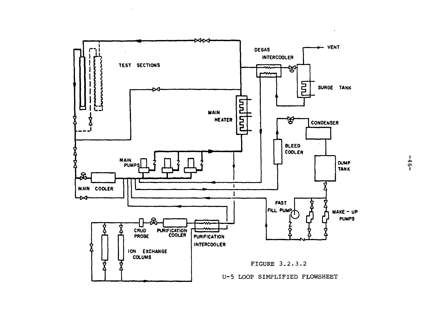

 $\sim$ 

 $-9f-$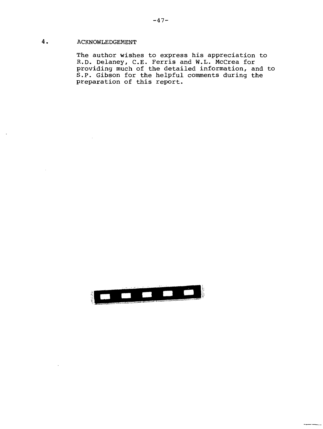# 4. ACKNOWLEDGEMENT

The author wishes to express his appreciation to R.D. Delaney, C.E. Ferris and W.L. McCrea for providing much of the detailed information, and to S.P. Gibson for the helpful comments during the preparation of this report.